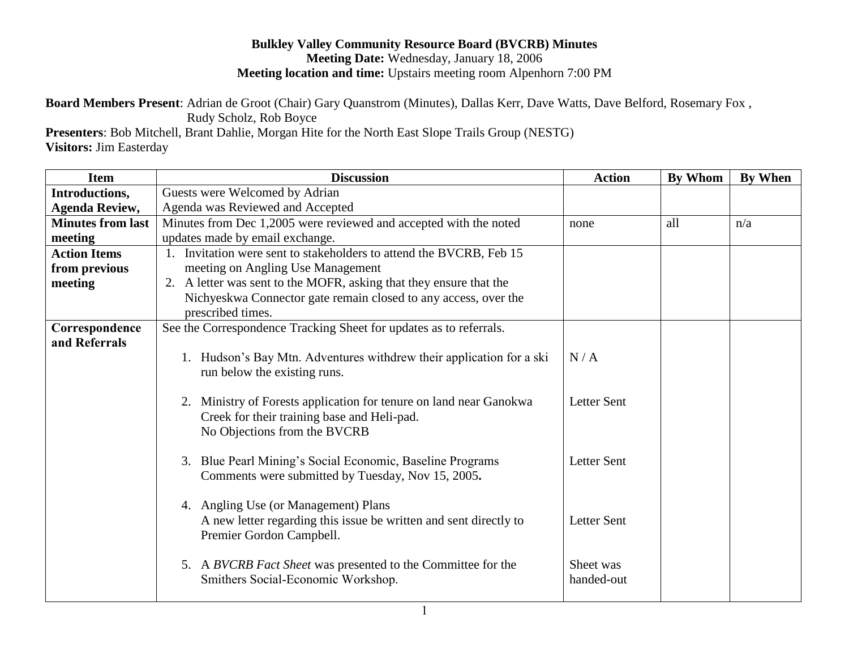## **Bulkley Valley Community Resource Board (BVCRB) Minutes Meeting Date:** Wednesday, January 18, 2006 **Meeting location and time:** Upstairs meeting room Alpenhorn 7:00 PM

**Board Members Present**: Adrian de Groot (Chair) Gary Quanstrom (Minutes), Dallas Kerr, Dave Watts, Dave Belford, Rosemary Fox ,

 Rudy Scholz, Rob Boyce **Presenters**: Bob Mitchell, Brant Dahlie, Morgan Hite for the North East Slope Trails Group (NESTG) **Visitors:** Jim Easterday

| Item                     | <b>Discussion</b>                                                                                                                                    | <b>Action</b>           | By Whom | <b>By When</b> |
|--------------------------|------------------------------------------------------------------------------------------------------------------------------------------------------|-------------------------|---------|----------------|
| Introductions,           | Guests were Welcomed by Adrian                                                                                                                       |                         |         |                |
| <b>Agenda Review,</b>    | Agenda was Reviewed and Accepted                                                                                                                     |                         |         |                |
| <b>Minutes from last</b> | Minutes from Dec 1,2005 were reviewed and accepted with the noted                                                                                    | none                    | all     | n/a            |
| meeting                  | updates made by email exchange.                                                                                                                      |                         |         |                |
| <b>Action Items</b>      | 1. Invitation were sent to stakeholders to attend the BVCRB, Feb 15                                                                                  |                         |         |                |
| from previous            | meeting on Angling Use Management                                                                                                                    |                         |         |                |
| meeting                  | 2. A letter was sent to the MOFR, asking that they ensure that the                                                                                   |                         |         |                |
|                          | Nichyeskwa Connector gate remain closed to any access, over the                                                                                      |                         |         |                |
|                          | prescribed times.                                                                                                                                    |                         |         |                |
| Correspondence           | See the Correspondence Tracking Sheet for updates as to referrals.                                                                                   |                         |         |                |
| and Referrals            |                                                                                                                                                      |                         |         |                |
|                          | 1. Hudson's Bay Mtn. Adventures withdrew their application for a ski<br>run below the existing runs.                                                 | N/A                     |         |                |
|                          | Ministry of Forests application for tenure on land near Ganokwa<br>2.<br>Creek for their training base and Heli-pad.<br>No Objections from the BVCRB | <b>Letter Sent</b>      |         |                |
|                          | 3. Blue Pearl Mining's Social Economic, Baseline Programs<br>Comments were submitted by Tuesday, Nov 15, 2005.                                       | <b>Letter Sent</b>      |         |                |
|                          | 4. Angling Use (or Management) Plans<br>A new letter regarding this issue be written and sent directly to<br>Premier Gordon Campbell.                | <b>Letter Sent</b>      |         |                |
|                          | 5. A BVCRB Fact Sheet was presented to the Committee for the<br>Smithers Social-Economic Workshop.                                                   | Sheet was<br>handed-out |         |                |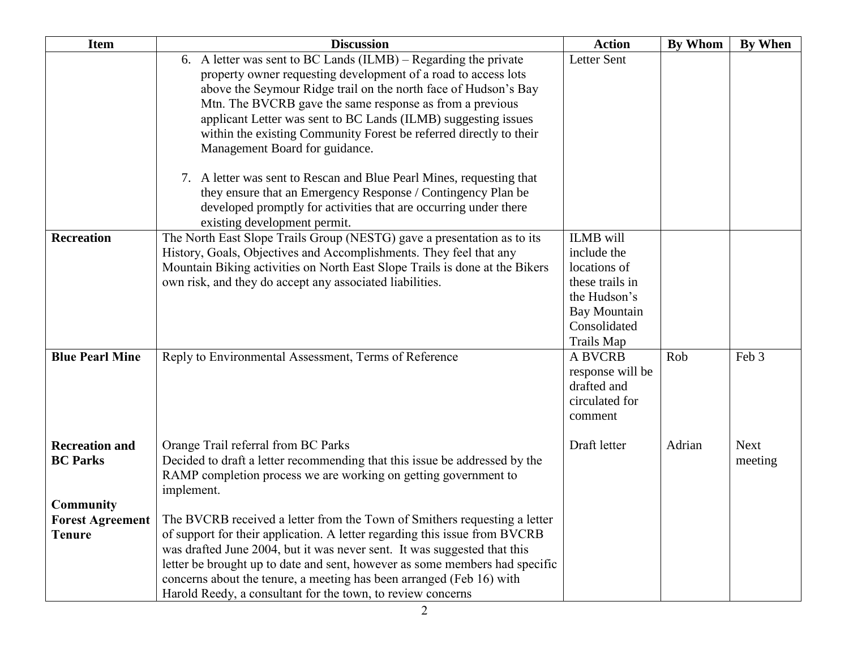| <b>Item</b>                                           | <b>Discussion</b>                                                                                                                                                                                                                                                                                                                                                                                                                                                                                                  | <b>Action</b>                                                                                                                           | By Whom | <b>By When</b>         |
|-------------------------------------------------------|--------------------------------------------------------------------------------------------------------------------------------------------------------------------------------------------------------------------------------------------------------------------------------------------------------------------------------------------------------------------------------------------------------------------------------------------------------------------------------------------------------------------|-----------------------------------------------------------------------------------------------------------------------------------------|---------|------------------------|
|                                                       | 6. A letter was sent to BC Lands (ILMB) – Regarding the private<br>property owner requesting development of a road to access lots<br>above the Seymour Ridge trail on the north face of Hudson's Bay<br>Mtn. The BVCRB gave the same response as from a previous<br>applicant Letter was sent to BC Lands (ILMB) suggesting issues<br>within the existing Community Forest be referred directly to their<br>Management Board for guidance.<br>7. A letter was sent to Rescan and Blue Pearl Mines, requesting that | Letter Sent                                                                                                                             |         |                        |
|                                                       | they ensure that an Emergency Response / Contingency Plan be<br>developed promptly for activities that are occurring under there<br>existing development permit.                                                                                                                                                                                                                                                                                                                                                   |                                                                                                                                         |         |                        |
| <b>Recreation</b>                                     | The North East Slope Trails Group (NESTG) gave a presentation as to its<br>History, Goals, Objectives and Accomplishments. They feel that any<br>Mountain Biking activities on North East Slope Trails is done at the Bikers<br>own risk, and they do accept any associated liabilities.                                                                                                                                                                                                                           | <b>ILMB</b> will<br>include the<br>locations of<br>these trails in<br>the Hudson's<br><b>Bay Mountain</b><br>Consolidated<br>Trails Map |         |                        |
| <b>Blue Pearl Mine</b>                                | Reply to Environmental Assessment, Terms of Reference                                                                                                                                                                                                                                                                                                                                                                                                                                                              | <b>A BVCRB</b><br>response will be<br>drafted and<br>circulated for<br>comment                                                          | Rob     | Feb 3                  |
| <b>Recreation and</b><br><b>BC Parks</b>              | Orange Trail referral from BC Parks<br>Decided to draft a letter recommending that this issue be addressed by the<br>RAMP completion process we are working on getting government to<br>implement.                                                                                                                                                                                                                                                                                                                 | Draft letter                                                                                                                            | Adrian  | <b>Next</b><br>meeting |
| <b>Community</b><br><b>Forest Agreement</b><br>Tenure | The BVCRB received a letter from the Town of Smithers requesting a letter<br>of support for their application. A letter regarding this issue from BVCRB<br>was drafted June 2004, but it was never sent. It was suggested that this<br>letter be brought up to date and sent, however as some members had specific<br>concerns about the tenure, a meeting has been arranged (Feb 16) with<br>Harold Reedy, a consultant for the town, to review concerns                                                          |                                                                                                                                         |         |                        |